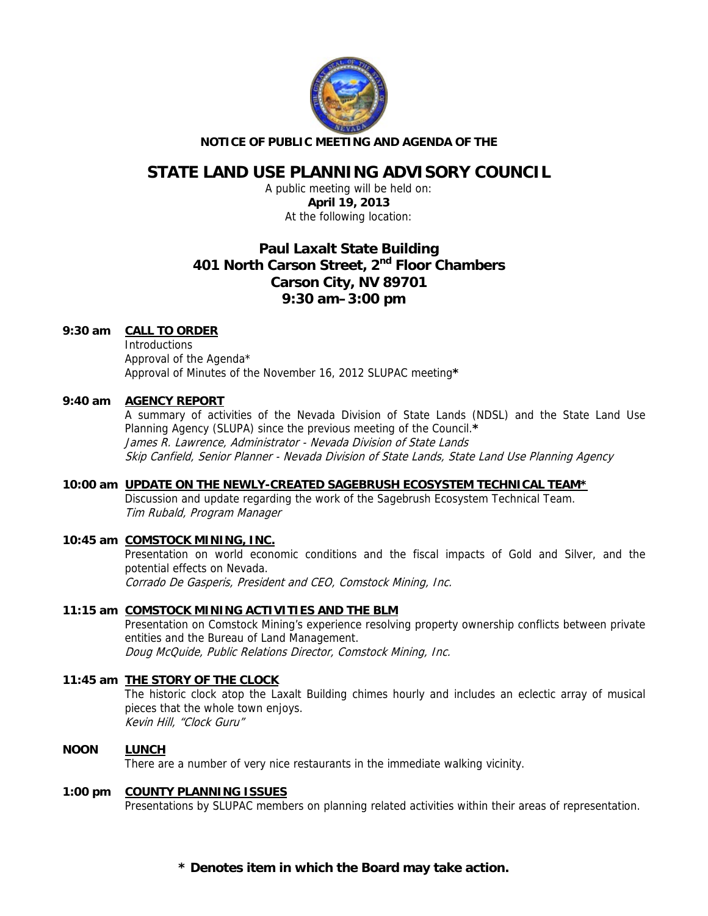

#### **NOTICE OF PUBLIC MEETING AND AGENDA OF THE**

# **STATE LAND USE PLANNING ADVISORY COUNCIL**

A public meeting will be held on: **April 19, 2013**  At the following location:

# **Paul Laxalt State Building 401 North Carson Street, 2nd Floor Chambers Carson City, NV 89701 9:30 am–3:00 pm**

## **9:30 am CALL TO ORDER**

**Introductions**  Approval of the Agenda\* Approval of Minutes of the November 16, 2012 SLUPAC meeting**\***

## **9:40 am AGENCY REPORT**

A summary of activities of the Nevada Division of State Lands (NDSL) and the State Land Use Planning Agency (SLUPA) since the previous meeting of the Council.**\*** James R. Lawrence, Administrator - Nevada Division of State Lands Skip Canfield, Senior Planner - Nevada Division of State Lands, State Land Use Planning Agency

#### **10:00 am UPDATE ON THE NEWLY-CREATED SAGEBRUSH ECOSYSTEM TECHNICAL TEAM\***

Discussion and update regarding the work of the Sagebrush Ecosystem Technical Team. Tim Rubald, Program Manager

## **10:45 am COMSTOCK MINING, INC.**

Presentation on world economic conditions and the fiscal impacts of Gold and Silver, and the potential effects on Nevada. Corrado De Gasperis, President and CEO, Comstock Mining, Inc.

# **11:15 am COMSTOCK MINING ACTIVITIES AND THE BLM**

Presentation on Comstock Mining's experience resolving property ownership conflicts between private entities and the Bureau of Land Management. Doug McQuide, Public Relations Director, Comstock Mining, Inc.

## **11:45 am THE STORY OF THE CLOCK**

The historic clock atop the Laxalt Building chimes hourly and includes an eclectic array of musical pieces that the whole town enjoys. Kevin Hill, "Clock Guru"

## **NOON LUNCH**

There are a number of very nice restaurants in the immediate walking vicinity.

#### **1:00 pm COUNTY PLANNING ISSUES**

Presentations by SLUPAC members on planning related activities within their areas of representation.

**\* Denotes item in which the Board may take action.**